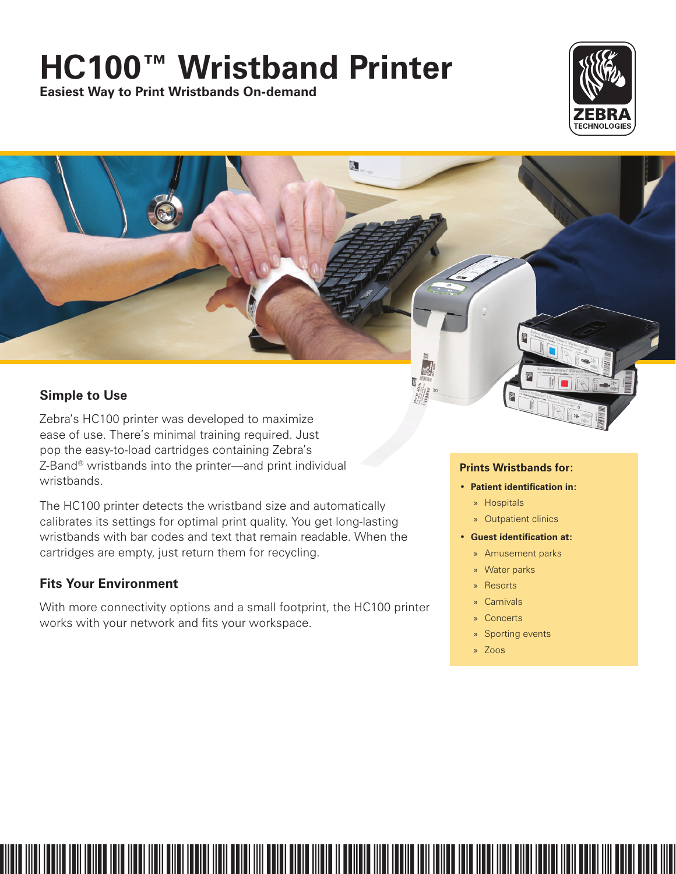# **HC100™ Wristband Printer**

 $\mathbf{a}$ 

**Easiest Way to Print Wristbands On-demand**



## **Simple to Use**

Zebra's HC100 printer was developed to maximize ease of use. There's minimal training required. Just pop the easy-to-load cartridges containing Zebra's Z-Band® wristbands into the printer—and print individual wristbands.

The HC100 printer detects the wristband size and automatically calibrates its settings for optimal print quality. You get long-lasting wristbands with bar codes and text that remain readable. When the cartridges are empty, just return them for recycling.

## **Fits Your Environment**

With more connectivity options and a small footprint, the HC100 printer works with your network and fits your workspace.

### **Prints Wristbands for:**

- **Patient identification in:**
	- » Hospitals
	- » Outpatient clinics
- **Guest identification at:**
	- » Amusement parks
	- » Water parks
	- » Resorts
	- » Carnivals
	- » Concerts
	- » Sporting events
- » Zoos